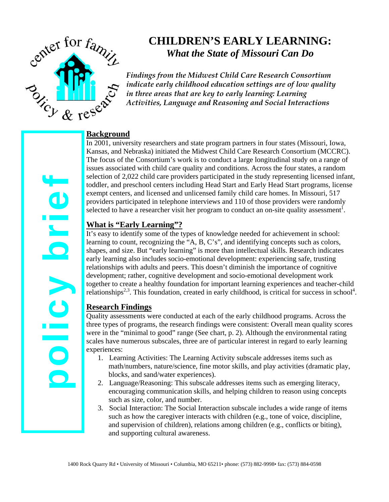

# **CHILDREN'S EARLY LEARNING:**  *What the State of Missouri Can Do*

*Findings from the Midwest Child Care Research Consortium indicate early childhood education settings are of low quality in three areas that are key to early learning: Learning Activities, Language and Reasoning and Social Interactions*

### **Background**

In 2001, university researchers and state program partners in four states (Missouri, Iowa, Kansas, and Nebraska) initiated the Midwest Child Care Research Consortium (MCCRC). The focus of the Consortium's work is to conduct a large longitudinal study on a range of issues associated with child care quality and conditions. Across the four states, a random selection of 2,022 child care providers participated in the study representing licensed infant, toddler, and preschool centers including Head Start and Early Head Start programs, license exempt centers, and licensed and unlicensed family child care homes. In Missouri, 517 providers participated in telephone interviews and 110 of those providers were randomly selected to have a researcher visit her program to conduct an on-site quality assessment<sup>1</sup>.

### **What is "Early Learning"?**

It's easy to identify some of the types of knowledge needed for achievement in school: learning to count, recognizing the "A, B, C's", and identifying concepts such as colors, shapes, and size. But "early learning" is more than intellectual skills. Research indicates early learning also includes socio-emotional development: experiencing safe, trusting relationships with adults and peers. This doesn't diminish the importance of cognitive development; rather, cognitive development and socio-emotional development work together to create a healthy foundation for important learning experiences and teacher-child relationships<sup>2,3</sup>. This foundation, created in early childhood, is critical for success in school<sup>4</sup>.

## **Research Findings**

Quality assessments were conducted at each of the early childhood programs. Across the three types of programs, the research findings were consistent: Overall mean quality scores were in the "minimal to good" range (See chart, p. 2). Although the environmental rating scales have numerous subscales, three are of particular interest in regard to early learning experiences:

- 1. Learning Activities: The Learning Activity subscale addresses items such as math/numbers, nature/science, fine motor skills, and play activities (dramatic play, blocks, and sand/water experiences).
- 2. Language/Reasoning: This subscale addresses items such as emerging literacy, encouraging communication skills, and helping children to reason using concepts such as size, color, and number.
- 3. Social Interaction: The Social Interaction subscale includes a wide range of items such as how the caregiver interacts with children (e.g., tone of voice, discipline, and supervision of children), relations among children (e.g., conflicts or biting), and supporting cultural awareness.